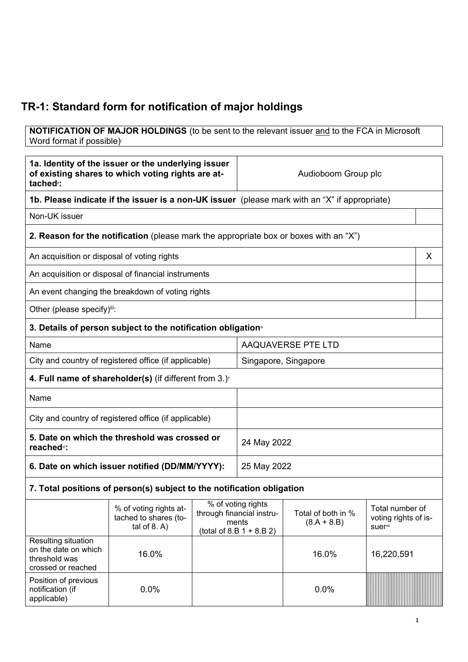## **TR-1: Standard form for notification of major holdings**

**NOTIFICATION OF MAJOR HOLDINGS** (to be sent to the relevant issuer and to the FCA in Microsoft Word format if possible)

| 1a. Identity of the issuer or the underlying issuer<br>of existing shares to which voting rights are at-<br>tached <sup>"</sup> : |                                                                                               | Audioboom Group plc |                                                                                         |                                     |                                                    |
|-----------------------------------------------------------------------------------------------------------------------------------|-----------------------------------------------------------------------------------------------|---------------------|-----------------------------------------------------------------------------------------|-------------------------------------|----------------------------------------------------|
|                                                                                                                                   | 1b. Please indicate if the issuer is a non-UK issuer (please mark with an "X" if appropriate) |                     |                                                                                         |                                     |                                                    |
| Non-UK issuer                                                                                                                     |                                                                                               |                     |                                                                                         |                                     |                                                    |
|                                                                                                                                   | 2. Reason for the notification (please mark the appropriate box or boxes with an "X")         |                     |                                                                                         |                                     |                                                    |
|                                                                                                                                   | An acquisition or disposal of voting rights                                                   |                     |                                                                                         |                                     |                                                    |
|                                                                                                                                   | An acquisition or disposal of financial instruments                                           |                     |                                                                                         |                                     |                                                    |
|                                                                                                                                   | An event changing the breakdown of voting rights                                              |                     |                                                                                         |                                     |                                                    |
| Other (please specify)iii:                                                                                                        |                                                                                               |                     |                                                                                         |                                     |                                                    |
|                                                                                                                                   | 3. Details of person subject to the notification obligation <sup>®</sup>                      |                     |                                                                                         |                                     |                                                    |
| Name                                                                                                                              |                                                                                               |                     | AAQUAVERSE PTE LTD                                                                      |                                     |                                                    |
| City and country of registered office (if applicable)                                                                             |                                                                                               |                     | Singapore, Singapore                                                                    |                                     |                                                    |
|                                                                                                                                   | 4. Full name of shareholder(s) (if different from $3.$ ) $\check{ }$                          |                     |                                                                                         |                                     |                                                    |
| Name                                                                                                                              |                                                                                               |                     |                                                                                         |                                     |                                                    |
| City and country of registered office (if applicable)                                                                             |                                                                                               |                     |                                                                                         |                                     |                                                    |
| 5. Date on which the threshold was crossed or<br>reached <sup>vi</sup> :                                                          |                                                                                               | 24 May 2022         |                                                                                         |                                     |                                                    |
| 6. Date on which issuer notified (DD/MM/YYYY):                                                                                    |                                                                                               | 25 May 2022         |                                                                                         |                                     |                                                    |
|                                                                                                                                   | 7. Total positions of person(s) subject to the notification obligation                        |                     |                                                                                         |                                     |                                                    |
|                                                                                                                                   | % of voting rights at-<br>tached to shares (to-<br>tal of $8. A$ )                            |                     | % of voting rights<br>through financial instru-<br>ments<br>(total of 8.B $1 + 8.B 2$ ) | Total of both in %<br>$(8.A + 8.B)$ | Total number of<br>voting rights of is-<br>suervii |
| Resulting situation<br>on the date on which<br>threshold was<br>crossed or reached                                                | 16.0%                                                                                         |                     |                                                                                         | 16.0%                               | 16,220,591                                         |
| Position of previous<br>notification (if<br>applicable)                                                                           | 0.0%                                                                                          |                     |                                                                                         | 0.0%                                |                                                    |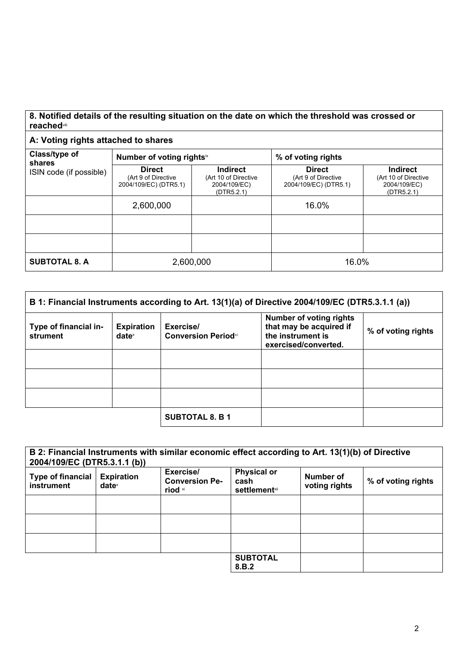## **8. Notified details of the resulting situation on the date on which the threshold was crossed or reached**viii

## **A: Voting rights attached to shares**

| Class/type of<br>shares | Number of voting rightsix                                     |                                                                       | % of voting rights                                            |                                                                       |  |
|-------------------------|---------------------------------------------------------------|-----------------------------------------------------------------------|---------------------------------------------------------------|-----------------------------------------------------------------------|--|
| ISIN code (if possible) | <b>Direct</b><br>(Art 9 of Directive<br>2004/109/EC) (DTR5.1) | <b>Indirect</b><br>(Art 10 of Directive<br>2004/109/EC)<br>(DTR5.2.1) | <b>Direct</b><br>(Art 9 of Directive<br>2004/109/EC) (DTR5.1) | <b>Indirect</b><br>(Art 10 of Directive<br>2004/109/EC)<br>(DTR5.2.1) |  |
|                         | 2,600,000                                                     |                                                                       | 16.0%                                                         |                                                                       |  |
|                         |                                                               |                                                                       |                                                               |                                                                       |  |
|                         |                                                               |                                                                       |                                                               |                                                                       |  |
| <b>SUBTOTAL 8. A</b>    | 2,600,000                                                     |                                                                       | 16.0%                                                         |                                                                       |  |

| B 1: Financial Instruments according to Art. 13(1)(a) of Directive 2004/109/EC (DTR5.3.1.1 (a)) |                                        |                                         |                                                                                                        |                    |
|-------------------------------------------------------------------------------------------------|----------------------------------------|-----------------------------------------|--------------------------------------------------------------------------------------------------------|--------------------|
| Type of financial in-<br>strument                                                               | <b>Expiration</b><br>date <sup>x</sup> | Exercise/<br><b>Conversion Periodxi</b> | <b>Number of voting rights</b><br>that may be acquired if<br>the instrument is<br>exercised/converted. | % of voting rights |
|                                                                                                 |                                        |                                         |                                                                                                        |                    |
|                                                                                                 |                                        |                                         |                                                                                                        |                    |
|                                                                                                 |                                        |                                         |                                                                                                        |                    |
|                                                                                                 |                                        | <b>SUBTOTAL 8. B 1</b>                  |                                                                                                        |                    |

| 2004/109/EC (DTR5.3.1.1 (b))           |                                        | B 2: Financial Instruments with similar economic effect according to Art. 13(1)(b) of Directive |                                                     |                            |                    |
|----------------------------------------|----------------------------------------|-------------------------------------------------------------------------------------------------|-----------------------------------------------------|----------------------------|--------------------|
| <b>Type of financial</b><br>instrument | <b>Expiration</b><br>date <sup>x</sup> | Exercise/<br><b>Conversion Pe-</b><br>riod xi                                                   | <b>Physical or</b><br>cash<br><b>settlement</b> xii | Number of<br>voting rights | % of voting rights |
|                                        |                                        |                                                                                                 |                                                     |                            |                    |
|                                        |                                        |                                                                                                 |                                                     |                            |                    |
|                                        |                                        |                                                                                                 |                                                     |                            |                    |
|                                        |                                        |                                                                                                 | <b>SUBTOTAL</b><br>8.B.2                            |                            |                    |